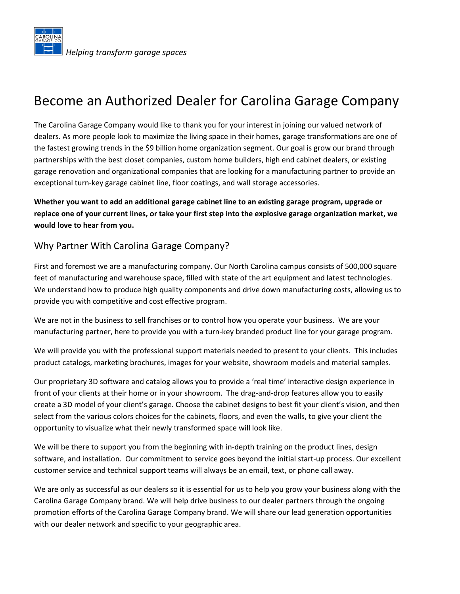

# Become an Authorized Dealer for Carolina Garage Company

The Carolina Garage Company would like to thank you for your interest in joining our valued network of dealers. As more people look to maximize the living space in their homes, garage transformations are one of the fastest growing trends in the \$9 billion home organization segment. Our goal is grow our brand through partnerships with the best closet companies, custom home builders, high end cabinet dealers, or existing garage renovation and organizational companies that are looking for a manufacturing partner to provide an exceptional turn-key garage cabinet line, floor coatings, and wall storage accessories.

**Whether you want to add an additional garage cabinet line to an existing garage program, upgrade or replace one of your current lines, or take your first step into the explosive garage organization market, we would love to hear from you.** 

#### Why Partner With Carolina Garage Company?

First and foremost we are a manufacturing company. Our North Carolina campus consists of 500,000 square feet of manufacturing and warehouse space, filled with state of the art equipment and latest technologies. We understand how to produce high quality components and drive down manufacturing costs, allowing us to provide you with competitive and cost effective program.

We are not in the business to sell franchises or to control how you operate your business. We are your manufacturing partner, here to provide you with a turn-key branded product line for your garage program.

We will provide you with the professional support materials needed to present to your clients. This includes product catalogs, marketing brochures, images for your website, showroom models and material samples.

Our proprietary 3D software and catalog allows you to provide a 'real time' interactive design experience in front of your clients at their home or in your showroom. The drag-and-drop features allow you to easily create a 3D model of your client's garage. Choose the cabinet designs to best fit your client's vision, and then select from the various colors choices for the cabinets, floors, and even the walls, to give your client the opportunity to visualize what their newly transformed space will look like.

We will be there to support you from the beginning with in-depth training on the product lines, design software, and installation. Our commitment to service goes beyond the initial start-up process. Our excellent customer service and technical support teams will always be an email, text, or phone call away.

We are only as successful as our dealers so it is essential for us to help you grow your business along with the Carolina Garage Company brand. We will help drive business to our dealer partners through the ongoing promotion efforts of the Carolina Garage Company brand. We will share our lead generation opportunities with our dealer network and specific to your geographic area.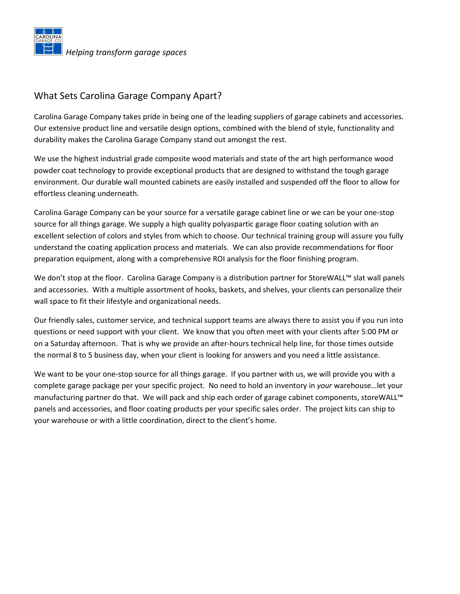

#### What Sets Carolina Garage Company Apart?

Carolina Garage Company takes pride in being one of the leading suppliers of garage cabinets and accessories. Our extensive product line and versatile design options, combined with the blend of style, functionality and durability makes the Carolina Garage Company stand out amongst the rest.

We use the highest industrial grade composite wood materials and state of the art high performance wood powder coat technology to provide exceptional products that are designed to withstand the tough garage environment. Our durable wall mounted cabinets are easily installed and suspended off the floor to allow for effortless cleaning underneath.

Carolina Garage Company can be your source for a versatile garage cabinet line or we can be your one-stop source for all things garage. We supply a high quality polyaspartic garage floor coating solution with an excellent selection of colors and styles from which to choose. Our technical training group will assure you fully understand the coating application process and materials. We can also provide recommendations for floor preparation equipment, along with a comprehensive ROI analysis for the floor finishing program.

We don't stop at the floor. Carolina Garage Company is a distribution partner for StoreWALL™ slat wall panels and accessories. With a multiple assortment of hooks, baskets, and shelves, your clients can personalize their wall space to fit their lifestyle and organizational needs.

Our friendly sales, customer service, and technical support teams are always there to assist you if you run into questions or need support with your client. We know that you often meet with your clients after 5:00 PM or on a Saturday afternoon. That is why we provide an after-hours technical help line, for those times outside the normal 8 to 5 business day, when your client is looking for answers and you need a little assistance.

We want to be your one-stop source for all things garage. If you partner with us, we will provide you with a complete garage package per your specific project. No need to hold an inventory in *your* warehouse…let your manufacturing partner do that. We will pack and ship each order of garage cabinet components, storeWALL™ panels and accessories, and floor coating products per your specific sales order. The project kits can ship to your warehouse or with a little coordination, direct to the client's home.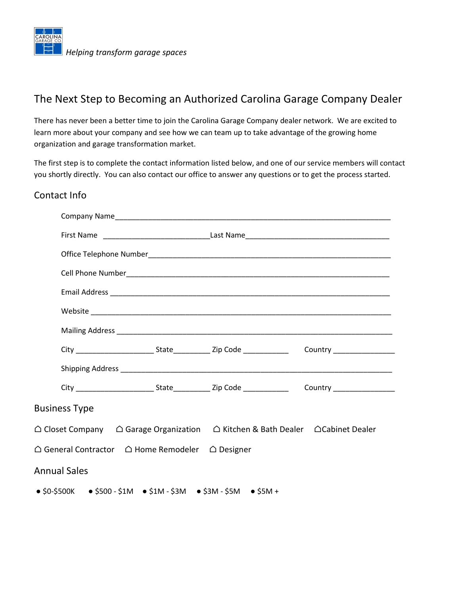

## The Next Step to Becoming an Authorized Carolina Garage Company Dealer

There has never been a better time to join the Carolina Garage Company dealer network. We are excited to learn more about your company and see how we can team up to take advantage of the growing home organization and garage transformation market.

The first step is to complete the contact information listed below, and one of our service members will contact you shortly directly. You can also contact our office to answer any questions or to get the process started.

#### Contact Info

| <b>Business Type</b>                                                                                                    |  |                      |  |  |
|-------------------------------------------------------------------------------------------------------------------------|--|----------------------|--|--|
| $\triangle$ Closet Company $\triangle$ Garage Organization $\triangle$ Kitchen & Bath Dealer $\triangle$ Cabinet Dealer |  |                      |  |  |
| $\triangle$ General Contractor $\quad \triangle$ Home Remodeler                                                         |  | $\triangle$ Designer |  |  |
| <b>Annual Sales</b>                                                                                                     |  |                      |  |  |
| $\bullet$ \$0-\$500K $\bullet$ \$500 - \$1M $\bullet$ \$1M - \$3M $\bullet$ \$3M - \$5M $\bullet$ \$5M +                |  |                      |  |  |